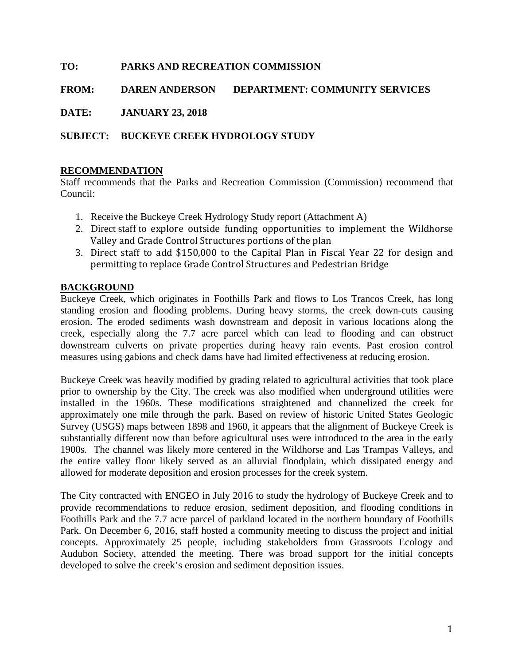# **TO: PARKS AND RECREATION COMMISSION**

**FROM: DAREN ANDERSON DEPARTMENT: COMMUNITY SERVICES**

**DATE: JANUARY 23, 2018**

## **SUBJECT: BUCKEYE CREEK HYDROLOGY STUDY**

#### **RECOMMENDATION**

Staff recommends that the Parks and Recreation Commission (Commission) recommend that Council:

- 1. Receive the Buckeye Creek Hydrology Study report (Attachment A)
- 2. Direct staff to explore outside funding opportunities to implement the Wildhorse Valley and Grade Control Structures portions of the plan
- 3. Direct staff to add \$150,000 to the Capital Plan in Fiscal Year 22 for design and permitting to replace Grade Control Structures and Pedestrian Bridge

### **BACKGROUND**

Buckeye Creek, which originates in Foothills Park and flows to Los Trancos Creek, has long standing erosion and flooding problems. During heavy storms, the creek down-cuts causing erosion. The eroded sediments wash downstream and deposit in various locations along the creek, especially along the 7.7 acre parcel which can lead to flooding and can obstruct downstream culverts on private properties during heavy rain events. Past erosion control measures using gabions and check dams have had limited effectiveness at reducing erosion.

Buckeye Creek was heavily modified by grading related to agricultural activities that took place prior to ownership by the City. The creek was also modified when underground utilities were installed in the 1960s. These modifications straightened and channelized the creek for approximately one mile through the park. Based on review of historic United States Geologic Survey (USGS) maps between 1898 and 1960, it appears that the alignment of Buckeye Creek is substantially different now than before agricultural uses were introduced to the area in the early 1900s. The channel was likely more centered in the Wildhorse and Las Trampas Valleys, and the entire valley floor likely served as an alluvial floodplain, which dissipated energy and allowed for moderate deposition and erosion processes for the creek system.

The City contracted with ENGEO in July 2016 to study the hydrology of Buckeye Creek and to provide recommendations to reduce erosion, sediment deposition, and flooding conditions in Foothills Park and the 7.7 acre parcel of parkland located in the northern boundary of Foothills Park. On December 6, 2016, staff hosted a community meeting to discuss the project and initial concepts. Approximately 25 people, including stakeholders from Grassroots Ecology and Audubon Society, attended the meeting. There was broad support for the initial concepts developed to solve the creek's erosion and sediment deposition issues.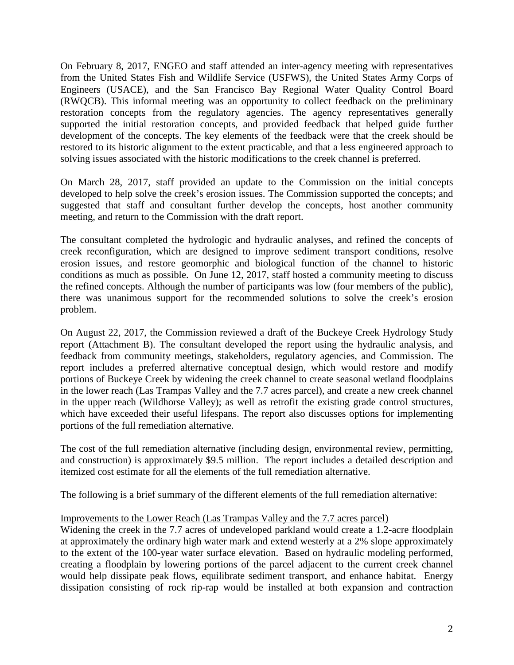On February 8, 2017, ENGEO and staff attended an inter-agency meeting with representatives from the United States Fish and Wildlife Service (USFWS), the United States Army Corps of Engineers (USACE), and the San Francisco Bay Regional Water Quality Control Board (RWQCB). This informal meeting was an opportunity to collect feedback on the preliminary restoration concepts from the regulatory agencies. The agency representatives generally supported the initial restoration concepts, and provided feedback that helped guide further development of the concepts. The key elements of the feedback were that the creek should be restored to its historic alignment to the extent practicable, and that a less engineered approach to solving issues associated with the historic modifications to the creek channel is preferred.

On March 28, 2017, staff provided an update to the Commission on the initial concepts developed to help solve the creek's erosion issues. The Commission supported the concepts; and suggested that staff and consultant further develop the concepts, host another community meeting, and return to the Commission with the draft report.

The consultant completed the hydrologic and hydraulic analyses, and refined the concepts of creek reconfiguration, which are designed to improve sediment transport conditions, resolve erosion issues, and restore geomorphic and biological function of the channel to historic conditions as much as possible. On June 12, 2017, staff hosted a community meeting to discuss the refined concepts. Although the number of participants was low (four members of the public), there was unanimous support for the recommended solutions to solve the creek's erosion problem.

On August 22, 2017, the Commission reviewed a draft of the Buckeye Creek Hydrology Study report (Attachment B). The consultant developed the report using the hydraulic analysis, and feedback from community meetings, stakeholders, regulatory agencies, and Commission. The report includes a preferred alternative conceptual design, which would restore and modify portions of Buckeye Creek by widening the creek channel to create seasonal wetland floodplains in the lower reach (Las Trampas Valley and the 7.7 acres parcel), and create a new creek channel in the upper reach (Wildhorse Valley); as well as retrofit the existing grade control structures, which have exceeded their useful lifespans. The report also discusses options for implementing portions of the full remediation alternative.

The cost of the full remediation alternative (including design, environmental review, permitting, and construction) is approximately \$9.5 million. The report includes a detailed description and itemized cost estimate for all the elements of the full remediation alternative.

The following is a brief summary of the different elements of the full remediation alternative:

## Improvements to the Lower Reach (Las Trampas Valley and the 7.7 acres parcel)

Widening the creek in the 7.7 acres of undeveloped parkland would create a 1.2-acre floodplain at approximately the ordinary high water mark and extend westerly at a 2% slope approximately to the extent of the 100-year water surface elevation. Based on hydraulic modeling performed, creating a floodplain by lowering portions of the parcel adjacent to the current creek channel would help dissipate peak flows, equilibrate sediment transport, and enhance habitat. Energy dissipation consisting of rock rip-rap would be installed at both expansion and contraction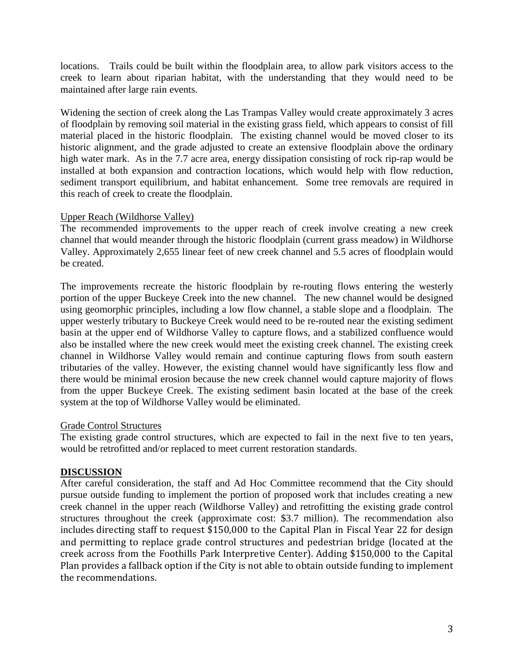locations. Trails could be built within the floodplain area, to allow park visitors access to the creek to learn about riparian habitat, with the understanding that they would need to be maintained after large rain events.

Widening the section of creek along the Las Trampas Valley would create approximately 3 acres of floodplain by removing soil material in the existing grass field, which appears to consist of fill material placed in the historic floodplain. The existing channel would be moved closer to its historic alignment, and the grade adjusted to create an extensive floodplain above the ordinary high water mark. As in the 7.7 acre area, energy dissipation consisting of rock rip-rap would be installed at both expansion and contraction locations, which would help with flow reduction, sediment transport equilibrium, and habitat enhancement. Some tree removals are required in this reach of creek to create the floodplain.

### Upper Reach (Wildhorse Valley)

The recommended improvements to the upper reach of creek involve creating a new creek channel that would meander through the historic floodplain (current grass meadow) in Wildhorse Valley. Approximately 2,655 linear feet of new creek channel and 5.5 acres of floodplain would be created.

The improvements recreate the historic floodplain by re-routing flows entering the westerly portion of the upper Buckeye Creek into the new channel. The new channel would be designed using geomorphic principles, including a low flow channel, a stable slope and a floodplain. The upper westerly tributary to Buckeye Creek would need to be re-routed near the existing sediment basin at the upper end of Wildhorse Valley to capture flows, and a stabilized confluence would also be installed where the new creek would meet the existing creek channel. The existing creek channel in Wildhorse Valley would remain and continue capturing flows from south eastern tributaries of the valley. However, the existing channel would have significantly less flow and there would be minimal erosion because the new creek channel would capture majority of flows from the upper Buckeye Creek. The existing sediment basin located at the base of the creek system at the top of Wildhorse Valley would be eliminated.

#### Grade Control Structures

The existing grade control structures, which are expected to fail in the next five to ten years, would be retrofitted and/or replaced to meet current restoration standards.

## **DISCUSSION**

After careful consideration, the staff and Ad Hoc Committee recommend that the City should pursue outside funding to implement the portion of proposed work that includes creating a new creek channel in the upper reach (Wildhorse Valley) and retrofitting the existing grade control structures throughout the creek (approximate cost: \$3.7 million). The recommendation also includes directing staff to request \$150,000 to the Capital Plan in Fiscal Year 22 for design and permitting to replace grade control structures and pedestrian bridge (located at the creek across from the Foothills Park Interpretive Center). Adding \$150,000 to the Capital Plan provides a fallback option if the City is not able to obtain outside funding to implement the recommendations.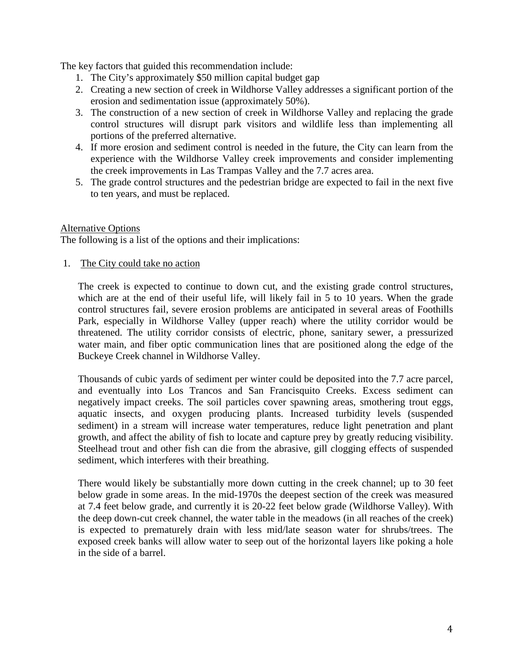The key factors that guided this recommendation include:

- 1. The City's approximately \$50 million capital budget gap
- 2. Creating a new section of creek in Wildhorse Valley addresses a significant portion of the erosion and sedimentation issue (approximately 50%).
- 3. The construction of a new section of creek in Wildhorse Valley and replacing the grade control structures will disrupt park visitors and wildlife less than implementing all portions of the preferred alternative.
- 4. If more erosion and sediment control is needed in the future, the City can learn from the experience with the Wildhorse Valley creek improvements and consider implementing the creek improvements in Las Trampas Valley and the 7.7 acres area.
- 5. The grade control structures and the pedestrian bridge are expected to fail in the next five to ten years, and must be replaced.

## Alternative Options

The following is a list of the options and their implications:

1. The City could take no action

The creek is expected to continue to down cut, and the existing grade control structures, which are at the end of their useful life, will likely fail in 5 to 10 years. When the grade control structures fail, severe erosion problems are anticipated in several areas of Foothills Park, especially in Wildhorse Valley (upper reach) where the utility corridor would be threatened. The utility corridor consists of electric, phone, sanitary sewer, a pressurized water main, and fiber optic communication lines that are positioned along the edge of the Buckeye Creek channel in Wildhorse Valley.

Thousands of cubic yards of sediment per winter could be deposited into the 7.7 acre parcel, and eventually into Los Trancos and San Francisquito Creeks. Excess sediment can negatively impact creeks. The soil particles cover spawning areas, smothering trout eggs, aquatic insects, and oxygen producing plants. Increased turbidity levels (suspended sediment) in a stream will increase water temperatures, reduce light penetration and plant growth, and affect the ability of fish to locate and capture prey by greatly reducing visibility. Steelhead trout and other fish can die from the abrasive, gill clogging effects of suspended sediment, which interferes with their breathing.

There would likely be substantially more down cutting in the creek channel; up to 30 feet below grade in some areas. In the mid-1970s the deepest section of the creek was measured at 7.4 feet below grade, and currently it is 20-22 feet below grade (Wildhorse Valley). With the deep down-cut creek channel, the water table in the meadows (in all reaches of the creek) is expected to prematurely drain with less mid/late season water for shrubs/trees. The exposed creek banks will allow water to seep out of the horizontal layers like poking a hole in the side of a barrel.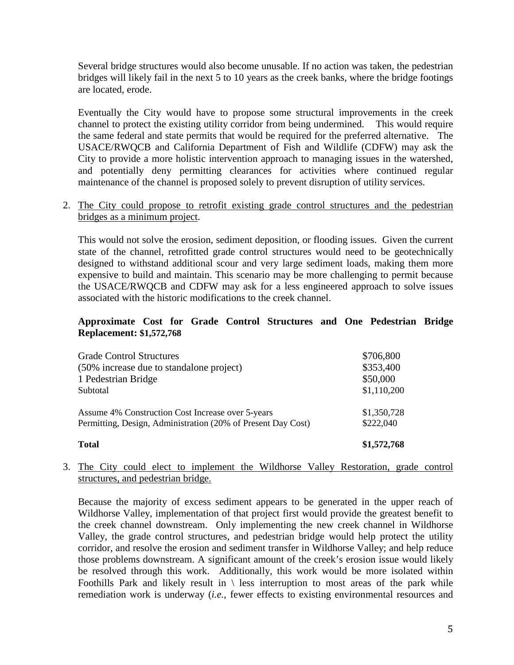Several bridge structures would also become unusable. If no action was taken, the pedestrian bridges will likely fail in the next 5 to 10 years as the creek banks, where the bridge footings are located, erode.

Eventually the City would have to propose some structural improvements in the creek channel to protect the existing utility corridor from being undermined. This would require the same federal and state permits that would be required for the preferred alternative. The USACE/RWQCB and California Department of Fish and Wildlife (CDFW) may ask the City to provide a more holistic intervention approach to managing issues in the watershed, and potentially deny permitting clearances for activities where continued regular maintenance of the channel is proposed solely to prevent disruption of utility services.

2. The City could propose to retrofit existing grade control structures and the pedestrian bridges as a minimum project.

This would not solve the erosion, sediment deposition, or flooding issues. Given the current state of the channel, retrofitted grade control structures would need to be geotechnically designed to withstand additional scour and very large sediment loads, making them more expensive to build and maintain. This scenario may be more challenging to permit because the USACE/RWQCB and CDFW may ask for a less engineered approach to solve issues associated with the historic modifications to the creek channel.

## **Approximate Cost for Grade Control Structures and One Pedestrian Bridge Replacement: \$1,572,768**

| <b>Total</b>                                                 | \$1,572,768 |
|--------------------------------------------------------------|-------------|
| Assume 4% Construction Cost Increase over 5-years            | \$1,350,728 |
| Permitting, Design, Administration (20% of Present Day Cost) | \$222,040   |
| <b>Grade Control Structures</b>                              | \$706,800   |
| (50% increase due to standalone project)                     | \$353,400   |
| 1 Pedestrian Bridge                                          | \$50,000    |
| Subtotal                                                     | \$1,110,200 |

3. The City could elect to implement the Wildhorse Valley Restoration, grade control structures, and pedestrian bridge.

Because the majority of excess sediment appears to be generated in the upper reach of Wildhorse Valley, implementation of that project first would provide the greatest benefit to the creek channel downstream. Only implementing the new creek channel in Wildhorse Valley, the grade control structures, and pedestrian bridge would help protect the utility corridor, and resolve the erosion and sediment transfer in Wildhorse Valley; and help reduce those problems downstream. A significant amount of the creek's erosion issue would likely be resolved through this work. Additionally, this work would be more isolated within Foothills Park and likely result in  $\langle$  less interruption to most areas of the park while remediation work is underway (*i.e.*, fewer effects to existing environmental resources and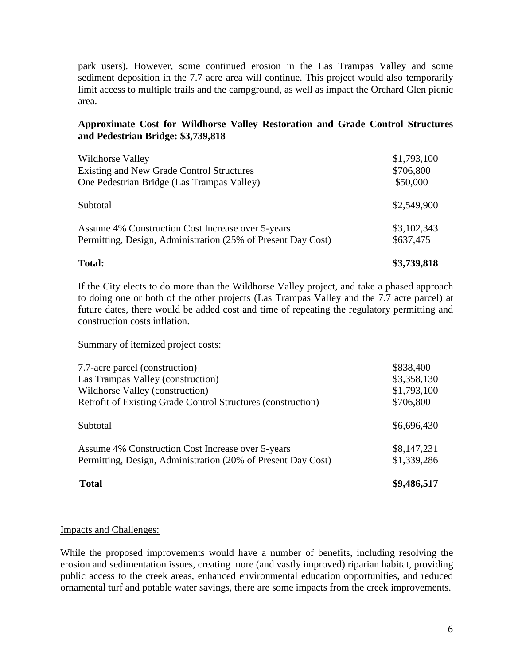park users). However, some continued erosion in the Las Trampas Valley and some sediment deposition in the 7.7 acre area will continue. This project would also temporarily limit access to multiple trails and the campground, as well as impact the Orchard Glen picnic area.

#### **Approximate Cost for Wildhorse Valley Restoration and Grade Control Structures and Pedestrian Bridge: \$3,739,818**

| <b>Total:</b>                                                                                               | \$3,739,818                          |  |
|-------------------------------------------------------------------------------------------------------------|--------------------------------------|--|
| Permitting, Design, Administration (25% of Present Day Cost)                                                | \$637,475                            |  |
| Assume 4% Construction Cost Increase over 5-years                                                           | \$3,102,343                          |  |
| Subtotal                                                                                                    | \$2,549,900                          |  |
| Wildhorse Valley<br>Existing and New Grade Control Structures<br>One Pedestrian Bridge (Las Trampas Valley) | \$1,793,100<br>\$706,800<br>\$50,000 |  |

If the City elects to do more than the Wildhorse Valley project, and take a phased approach to doing one or both of the other projects (Las Trampas Valley and the 7.7 acre parcel) at future dates, there would be added cost and time of repeating the regulatory permitting and construction costs inflation.

#### Summary of itemized project costs:

| 7.7-acre parcel (construction)                               | \$838,400   |
|--------------------------------------------------------------|-------------|
| Las Trampas Valley (construction)                            | \$3,358,130 |
| Wildhorse Valley (construction)                              | \$1,793,100 |
| Retrofit of Existing Grade Control Structures (construction) | \$706,800   |
| Subtotal                                                     | \$6,696,430 |
| Assume 4% Construction Cost Increase over 5-years            | \$8,147,231 |
| Permitting, Design, Administration (20% of Present Day Cost) | \$1,339,286 |
| <b>Total</b>                                                 | \$9,486,517 |

## Impacts and Challenges:

While the proposed improvements would have a number of benefits, including resolving the erosion and sedimentation issues, creating more (and vastly improved) riparian habitat, providing public access to the creek areas, enhanced environmental education opportunities, and reduced ornamental turf and potable water savings, there are some impacts from the creek improvements.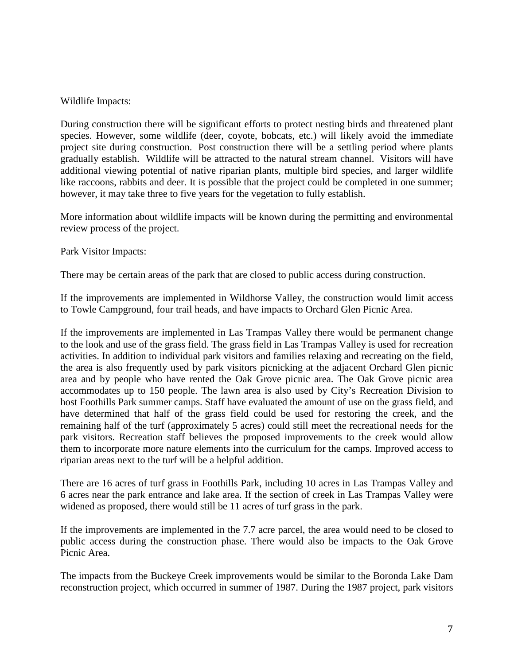### Wildlife Impacts:

During construction there will be significant efforts to protect nesting birds and threatened plant species. However, some wildlife (deer, coyote, bobcats, etc.) will likely avoid the immediate project site during construction. Post construction there will be a settling period where plants gradually establish. Wildlife will be attracted to the natural stream channel. Visitors will have additional viewing potential of native riparian plants, multiple bird species, and larger wildlife like raccoons, rabbits and deer. It is possible that the project could be completed in one summer; however, it may take three to five years for the vegetation to fully establish.

More information about wildlife impacts will be known during the permitting and environmental review process of the project.

Park Visitor Impacts:

There may be certain areas of the park that are closed to public access during construction.

If the improvements are implemented in Wildhorse Valley, the construction would limit access to Towle Campground, four trail heads, and have impacts to Orchard Glen Picnic Area.

If the improvements are implemented in Las Trampas Valley there would be permanent change to the look and use of the grass field. The grass field in Las Trampas Valley is used for recreation activities. In addition to individual park visitors and families relaxing and recreating on the field, the area is also frequently used by park visitors picnicking at the adjacent Orchard Glen picnic area and by people who have rented the Oak Grove picnic area. The Oak Grove picnic area accommodates up to 150 people. The lawn area is also used by City's Recreation Division to host Foothills Park summer camps. Staff have evaluated the amount of use on the grass field, and have determined that half of the grass field could be used for restoring the creek, and the remaining half of the turf (approximately 5 acres) could still meet the recreational needs for the park visitors. Recreation staff believes the proposed improvements to the creek would allow them to incorporate more nature elements into the curriculum for the camps. Improved access to riparian areas next to the turf will be a helpful addition.

There are 16 acres of turf grass in Foothills Park, including 10 acres in Las Trampas Valley and 6 acres near the park entrance and lake area. If the section of creek in Las Trampas Valley were widened as proposed, there would still be 11 acres of turf grass in the park.

If the improvements are implemented in the 7.7 acre parcel, the area would need to be closed to public access during the construction phase. There would also be impacts to the Oak Grove Picnic Area.

The impacts from the Buckeye Creek improvements would be similar to the Boronda Lake Dam reconstruction project, which occurred in summer of 1987. During the 1987 project, park visitors